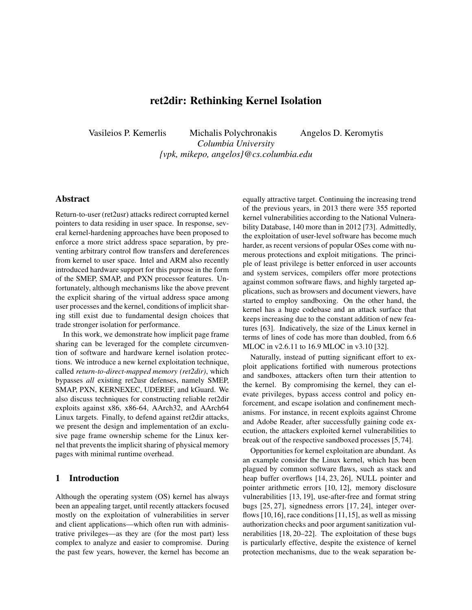# ret2dir: Rethinking Kernel Isolation

Vasileios P. Kemerlis Michalis Polychronakis Angelos D. Keromytis *Columbia University {vpk, mikepo, angelos}@cs.columbia.edu*

## Abstract

Return-to-user (ret2usr) attacks redirect corrupted kernel pointers to data residing in user space. In response, several kernel-hardening approaches have been proposed to enforce a more strict address space separation, by preventing arbitrary control flow transfers and dereferences from kernel to user space. Intel and ARM also recently introduced hardware support for this purpose in the form of the SMEP, SMAP, and PXN processor features. Unfortunately, although mechanisms like the above prevent the explicit sharing of the virtual address space among user processes and the kernel, conditions of implicit sharing still exist due to fundamental design choices that trade stronger isolation for performance.

In this work, we demonstrate how implicit page frame sharing can be leveraged for the complete circumvention of software and hardware kernel isolation protections. We introduce a new kernel exploitation technique, called *return-to-direct-mapped memory (ret2dir)*, which bypasses *all* existing ret2usr defenses, namely SMEP, SMAP, PXN, KERNEXEC, UDEREF, and kGuard. We also discuss techniques for constructing reliable ret2dir exploits against x86, x86-64, AArch32, and AArch64 Linux targets. Finally, to defend against ret2dir attacks, we present the design and implementation of an exclusive page frame ownership scheme for the Linux kernel that prevents the implicit sharing of physical memory pages with minimal runtime overhead.

## 1 Introduction

Although the operating system (OS) kernel has always been an appealing target, until recently attackers focused mostly on the exploitation of vulnerabilities in server and client applications—which often run with administrative privileges—as they are (for the most part) less complex to analyze and easier to compromise. During the past few years, however, the kernel has become an equally attractive target. Continuing the increasing trend of the previous years, in 2013 there were 355 reported kernel vulnerabilities according to the National Vulnerability Database, 140 more than in 2012 [\[73\]](#page-15-0). Admittedly, the exploitation of user-level software has become much harder, as recent versions of popular OSes come with numerous protections and exploit mitigations. The principle of least privilege is better enforced in user accounts and system services, compilers offer more protections against common software flaws, and highly targeted applications, such as browsers and document viewers, have started to employ sandboxing. On the other hand, the kernel has a huge codebase and an attack surface that keeps increasing due to the constant addition of new features [\[63\]](#page-15-1). Indicatively, the size of the Linux kernel in terms of lines of code has more than doubled, from 6.6 MLOC in v2.6.11 to 16.9 MLOC in v3.10 [\[32\]](#page-14-0).

Naturally, instead of putting significant effort to exploit applications fortified with numerous protections and sandboxes, attackers often turn their attention to the kernel. By compromising the kernel, they can elevate privileges, bypass access control and policy enforcement, and escape isolation and confinement mechanisms. For instance, in recent exploits against Chrome and Adobe Reader, after successfully gaining code execution, the attackers exploited kernel vulnerabilities to break out of the respective sandboxed processes [\[5,](#page-14-1) [74\]](#page-15-2).

Opportunities for kernel exploitation are abundant. As an example consider the Linux kernel, which has been plagued by common software flaws, such as stack and heap buffer overflows [\[14,](#page-14-2) [23,](#page-14-3) [26\]](#page-14-4), NULL pointer and pointer arithmetic errors [\[10,](#page-14-5) [12\]](#page-14-6), memory disclosure vulnerabilities [\[13,](#page-14-7) [19\]](#page-14-8), use-after-free and format string bugs [\[25,](#page-14-9) [27\]](#page-14-10), signedness errors [\[17,](#page-14-11) [24\]](#page-14-12), integer overflows  $[10, 16]$  $[10, 16]$  $[10, 16]$ , race conditions  $[11, 15]$  $[11, 15]$ , as well as missing authorization checks and poor argument sanitization vulnerabilities [\[18,](#page-14-16) [20](#page-14-17)[–22\]](#page-14-18). The exploitation of these bugs is particularly effective, despite the existence of kernel protection mechanisms, due to the weak separation be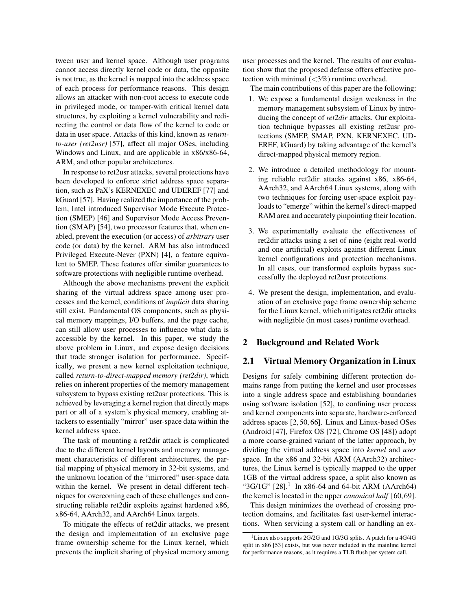tween user and kernel space. Although user programs cannot access directly kernel code or data, the opposite is not true, as the kernel is mapped into the address space of each process for performance reasons. This design allows an attacker with non-root access to execute code in privileged mode, or tamper-with critical kernel data structures, by exploiting a kernel vulnerability and redirecting the control or data flow of the kernel to code or data in user space. Attacks of this kind, known as *returnto-user (ret2usr)* [\[57\]](#page-15-3), affect all major OSes, including Windows and Linux, and are applicable in x86/x86-64, ARM, and other popular architectures.

In response to ret2usr attacks, several protections have been developed to enforce strict address space separation, such as PaX's KERNEXEC and UDEREF [\[77\]](#page-15-4) and kGuard [\[57\]](#page-15-3). Having realized the importance of the problem, Intel introduced Supervisor Mode Execute Protection (SMEP) [\[46\]](#page-14-19) and Supervisor Mode Access Prevention (SMAP) [\[54\]](#page-15-5), two processor features that, when enabled, prevent the execution (or access) of *arbitrary* user code (or data) by the kernel. ARM has also introduced Privileged Execute-Never (PXN) [\[4\]](#page-14-20), a feature equivalent to SMEP. These features offer similar guarantees to software protections with negligible runtime overhead.

Although the above mechanisms prevent the explicit sharing of the virtual address space among user processes and the kernel, conditions of *implicit* data sharing still exist. Fundamental OS components, such as physical memory mappings, I/O buffers, and the page cache, can still allow user processes to influence what data is accessible by the kernel. In this paper, we study the above problem in Linux, and expose design decisions that trade stronger isolation for performance. Specifically, we present a new kernel exploitation technique, called *return-to-direct-mapped memory (ret2dir)*, which relies on inherent properties of the memory management subsystem to bypass existing ret2usr protections. This is achieved by leveraging a kernel region that directly maps part or all of a system's physical memory, enabling attackers to essentially "mirror" user-space data within the kernel address space.

The task of mounting a ret2dir attack is complicated due to the different kernel layouts and memory management characteristics of different architectures, the partial mapping of physical memory in 32-bit systems, and the unknown location of the "mirrored" user-space data within the kernel. We present in detail different techniques for overcoming each of these challenges and constructing reliable ret2dir exploits against hardened x86, x86-64, AArch32, and AArch64 Linux targets.

To mitigate the effects of ret2dir attacks, we present the design and implementation of an exclusive page frame ownership scheme for the Linux kernel, which prevents the implicit sharing of physical memory among user processes and the kernel. The results of our evaluation show that the proposed defense offers effective protection with minimal  $(< 3\%)$  runtime overhead.

The main contributions of this paper are the following:

- 1. We expose a fundamental design weakness in the memory management subsystem of Linux by introducing the concept of *ret2dir* attacks. Our exploitation technique bypasses all existing ret2usr protections (SMEP, SMAP, PXN, KERNEXEC, UD-EREF, kGuard) by taking advantage of the kernel's direct-mapped physical memory region.
- 2. We introduce a detailed methodology for mounting reliable ret2dir attacks against x86, x86-64, AArch32, and AArch64 Linux systems, along with two techniques for forcing user-space exploit payloads to "emerge" within the kernel's direct-mapped RAM area and accurately pinpointing their location.
- 3. We experimentally evaluate the effectiveness of ret2dir attacks using a set of nine (eight real-world and one artificial) exploits against different Linux kernel configurations and protection mechanisms. In all cases, our transformed exploits bypass successfully the deployed ret2usr protections.
- 4. We present the design, implementation, and evaluation of an exclusive page frame ownership scheme for the Linux kernel, which mitigates ret2dir attacks with negligible (in most cases) runtime overhead.

#### 2 Background and Related Work

#### 2.1 Virtual Memory Organization in Linux

Designs for safely combining different protection domains range from putting the kernel and user processes into a single address space and establishing boundaries using software isolation [\[52\]](#page-15-6), to confining user process and kernel components into separate, hardware-enforced address spaces [\[2,](#page-14-21) [50,](#page-14-22) [66\]](#page-15-7). Linux and Linux-based OSes (Android [\[47\]](#page-14-23), Firefox OS [\[72\]](#page-15-8), Chrome OS [\[48\]](#page-14-24)) adopt a more coarse-grained variant of the latter approach, by dividing the virtual address space into *kernel* and *user* space. In the x86 and 32-bit ARM (AArch32) architectures, the Linux kernel is typically mapped to the upper 1GB of the virtual address space, a split also known as "3G/[1](#page-1-0)G"  $[28]$ .<sup>1</sup> In x86-64 and 64-bit ARM (AArch64) the kernel is located in the upper *canonical half* [\[60,](#page-15-9) [69\]](#page-15-10).

This design minimizes the overhead of crossing protection domains, and facilitates fast user-kernel interactions. When servicing a system call or handling an ex-

<span id="page-1-0"></span><sup>1</sup>Linux also supports 2G/2G and 1G/3G splits. A patch for a 4G/4G split in x86 [\[53\]](#page-15-11) exists, but was never included in the mainline kernel for performance reasons, as it requires a TLB flush per system call.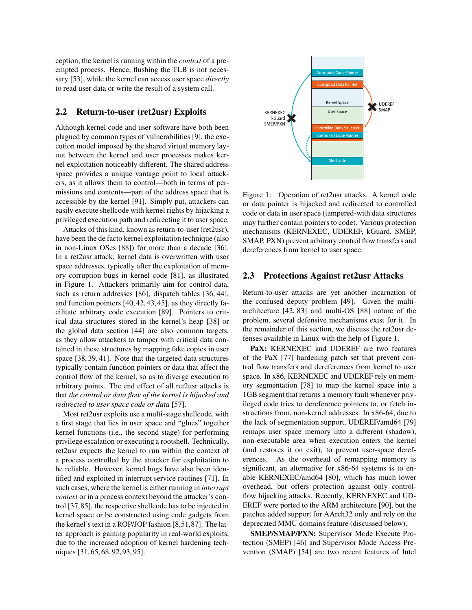ception, the kernel is running within the *context* of a preempted process. Hence, flushing the TLB is not necessary [\[53\]](#page-15-11), while the kernel can access user space *directly* to read user data or write the result of a system call.

#### <span id="page-2-2"></span>2.2 Return-to-user (ret2usr) Exploits

Although kernel code and user software have both been plagued by common types of vulnerabilities [\[9\]](#page-14-26), the execution model imposed by the shared virtual memory layout between the kernel and user processes makes kernel exploitation noticeably different. The shared address space provides a unique vantage point to local attackers, as it allows them to control—both in terms of permissions and contents—part of the address space that is accessible by the kernel [\[91\]](#page-15-12). Simply put, attackers can easily execute shellcode with kernel rights by hijacking a privileged execution path and redirecting it to user space.

Attacks of this kind, known as return-to-user (ret2usr), have been the de facto kernel exploitation technique (also in non-Linux OSes [\[88\]](#page-15-13)) for more than a decade [\[36\]](#page-14-27). In a ret2usr attack, kernel data is overwritten with user space addresses, typically after the exploitation of memory corruption bugs in kernel code [\[81\]](#page-15-14), as illustrated in Figure [1.](#page-2-0) Attackers primarily aim for control data, such as return addresses [\[86\]](#page-15-15), dispatch tables [\[36,](#page-14-27) [44\]](#page-14-28), and function pointers [\[40,](#page-14-29) [42,](#page-14-30) [43,](#page-14-31) [45\]](#page-14-32), as they directly facilitate arbitrary code execution [\[89\]](#page-15-16). Pointers to critical data structures stored in the kernel's heap [\[38\]](#page-14-33) or the global data section [\[44\]](#page-14-28) are also common targets, as they allow attackers to tamper with critical data contained in these structures by mapping fake copies in user space [\[38,](#page-14-33) [39,](#page-14-34) [41\]](#page-14-35). Note that the targeted data structures typically contain function pointers or data that affect the control flow of the kernel, so as to diverge execution to arbitrary points. The end effect of all ret2usr attacks is that *the control or data flow of the kernel is hijacked and redirected to user space code or data* [\[57\]](#page-15-3).

Most ret2usr exploits use a multi-stage shellcode, with a first stage that lies in user space and "glues" together kernel functions (i.e., the second stage) for performing privilege escalation or executing a rootshell. Technically, ret2usr expects the kernel to run within the context of a process controlled by the attacker for exploitation to be reliable. However, kernel bugs have also been identified and exploited in interrupt service routines [\[71\]](#page-15-17). In such cases, where the kernel is either running in *interrupt context* or in a process context beyond the attacker's control [\[37,](#page-14-36)[85\]](#page-15-18), the respective shellcode has to be injected in kernel space or be constructed using code gadgets from the kernel's text in a ROP/JOP fashion [\[8,](#page-14-37)[51,](#page-15-19)[87\]](#page-15-20). The latter approach is gaining popularity in real-world exploits, due to the increased adoption of kernel hardening techniques [\[31,](#page-14-38) [65,](#page-15-21) [68,](#page-15-22) [92,](#page-15-23) [93,](#page-15-24) [95\]](#page-15-25).



<span id="page-2-0"></span>Figure 1: Operation of ret2usr attacks. A kernel code or data pointer is hijacked and redirected to controlled code or data in user space (tampered-with data structures may further contain pointers to code). Various protection mechanisms (KERNEXEC, UDEREF, kGuard, SMEP, SMAP, PXN) prevent arbitrary control flow transfers and dereferences from kernel to user space.

#### <span id="page-2-1"></span>2.3 Protections Against ret2usr Attacks

Return-to-user attacks are yet another incarnation of the confused deputy problem [\[49\]](#page-14-39). Given the multiarchitecture [\[42,](#page-14-30) [83\]](#page-15-26) and multi-OS [\[88\]](#page-15-13) nature of the problem, several defensive mechanisms exist for it. In the remainder of this section, we discuss the ret2usr defenses available in Linux with the help of Figure [1.](#page-2-0)

PaX: KERNEXEC and UDEREF are two features of the PaX [\[77\]](#page-15-4) hardening patch set that prevent control flow transfers and dereferences from kernel to user space. In x86, KERNEXEC and UDEREF rely on memory segmentation [\[78\]](#page-15-27) to map the kernel space into a 1GB segment that returns a memory fault whenever privileged code tries to dereference pointers to, or fetch instructions from, non-kernel addresses. In x86-64, due to the lack of segmentation support, UDEREF/amd64 [\[79\]](#page-15-28) remaps user space memory into a different (shadow), non-executable area when execution enters the kernel (and restores it on exit), to prevent user-space dereferences. As the overhead of remapping memory is significant, an alternative for  $x86-64$  systems is to enable KERNEXEC/amd64 [\[80\]](#page-15-29), which has much lower overhead, but offers protection against only controlflow hijacking attacks. Recently, KERNEXEC and UD-EREF were ported to the ARM architecture [\[90\]](#page-15-30), but the patches added support for AArch32 only and rely on the deprecated MMU domains feature (discussed below).

SMEP/SMAP/PXN: Supervisor Mode Execute Protection (SMEP) [\[46\]](#page-14-19) and Supervisor Mode Access Prevention (SMAP) [\[54\]](#page-15-5) are two recent features of Intel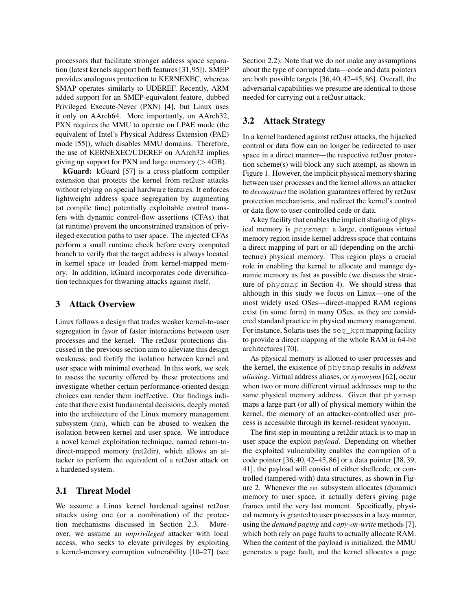processors that facilitate stronger address space separation (latest kernels support both features [\[31,](#page-14-38)[95\]](#page-15-25)). SMEP provides analogous protection to KERNEXEC, whereas SMAP operates similarly to UDEREF. Recently, ARM added support for an SMEP-equivalent feature, dubbed Privileged Execute-Never (PXN) [\[4\]](#page-14-20), but Linux uses it only on AArch64. More importantly, on AArch32, PXN requires the MMU to operate on LPAE mode (the equivalent of Intel's Physical Address Extension (PAE) mode [\[55\]](#page-15-31)), which disables MMU domains. Therefore, the use of KERNEXEC/UDEREF on AArch32 implies giving up support for PXN and large memory  $($  > 4GB).

kGuard: kGuard [\[57\]](#page-15-3) is a cross-platform compiler extension that protects the kernel from ret2usr attacks without relying on special hardware features. It enforces lightweight address space segregation by augmenting (at compile time) potentially exploitable control transfers with dynamic control-flow assertions (CFAs) that (at runtime) prevent the unconstrained transition of privileged execution paths to user space. The injected CFAs perform a small runtime check before every computed branch to verify that the target address is always located in kernel space or loaded from kernel-mapped memory. In addition, kGuard incorporates code diversification techniques for thwarting attacks against itself.

## 3 Attack Overview

Linux follows a design that trades weaker kernel-to-user segregation in favor of faster interactions between user processes and the kernel. The ret2usr protections discussed in the previous section aim to alleviate this design weakness, and fortify the isolation between kernel and user space with minimal overhead. In this work, we seek to assess the security offered by these protections and investigate whether certain performance-oriented design choices can render them ineffective. Our findings indicate that there exist fundamental decisions, deeply rooted into the architecture of the Linux memory management subsystem (mm), which can be abused to weaken the isolation between kernel and user space. We introduce a novel kernel exploitation technique, named return-todirect-mapped memory (ret2dir), which allows an attacker to perform the equivalent of a ret2usr attack on a hardened system.

## 3.1 Threat Model

We assume a Linux kernel hardened against ret2usr attacks using one (or a combination) of the protection mechanisms discussed in Section [2.3.](#page-2-1) Moreover, we assume an *unprivileged* attacker with local access, who seeks to elevate privileges by exploiting a kernel-memory corruption vulnerability [\[10–](#page-14-5)[27\]](#page-14-10) (see Section [2.2\)](#page-2-2). Note that we do not make any assumptions about the type of corrupted data—code and data pointers are both possible targets [\[36,](#page-14-27) [40,](#page-14-29) [42](#page-14-30)[–45,](#page-14-32) [86\]](#page-15-15). Overall, the adversarial capabilities we presume are identical to those needed for carrying out a ret2usr attack.

#### 3.2 Attack Strategy

In a kernel hardened against ret2usr attacks, the hijacked control or data flow can no longer be redirected to user space in a direct manner—the respective ret2usr protection scheme(s) will block any such attempt, as shown in Figure [1.](#page-2-0) However, the implicit physical memory sharing between user processes and the kernel allows an attacker to *deconstruct* the isolation guarantees offered by ret2usr protection mechanisms, and redirect the kernel's control or data flow to user-controlled code or data.

A key facility that enables the implicit sharing of physical memory is physmap: a large, contiguous virtual memory region inside kernel address space that contains a direct mapping of part or all (depending on the architecture) physical memory. This region plays a crucial role in enabling the kernel to allocate and manage dynamic memory as fast as possible (we discuss the structure of physmap in Section [4\)](#page-4-0). We should stress that although in this study we focus on Linux—one of the most widely used OSes—direct-mapped RAM regions exist (in some form) in many OSes, as they are considered standard practice in physical memory management. For instance, Solaris uses the seg\_kpm mapping facility to provide a direct mapping of the whole RAM in 64-bit architectures [\[70\]](#page-15-32).

As physical memory is allotted to user processes and the kernel, the existence of physmap results in *address aliasing*. Virtual address aliases, or *synonyms* [\[62\]](#page-15-33), occur when two or more different virtual addresses map to the same physical memory address. Given that physmap maps a large part (or all) of physical memory within the kernel, the memory of an attacker-controlled user process is accessible through its kernel-resident synonym.

The first step in mounting a ret2dir attack is to map in user space the exploit *payload*. Depending on whether the exploited vulnerability enables the corruption of a code pointer [\[36,](#page-14-27) [40,](#page-14-29) [42](#page-14-30)[–45,](#page-14-32) [86\]](#page-15-15) or a data pointer [\[38,](#page-14-33) [39,](#page-14-34) [41\]](#page-14-35), the payload will consist of either shellcode, or controlled (tampered-with) data structures, as shown in Figure [2.](#page-4-1) Whenever the mm subsystem allocates (dynamic) memory to user space, it actually defers giving page frames until the very last moment. Specifically, physical memory is granted to user processes in a lazy manner, using the *demand paging* and *copy-on-write* methods [\[7\]](#page-14-40), which both rely on page faults to actually allocate RAM. When the content of the payload is initialized, the MMU generates a page fault, and the kernel allocates a page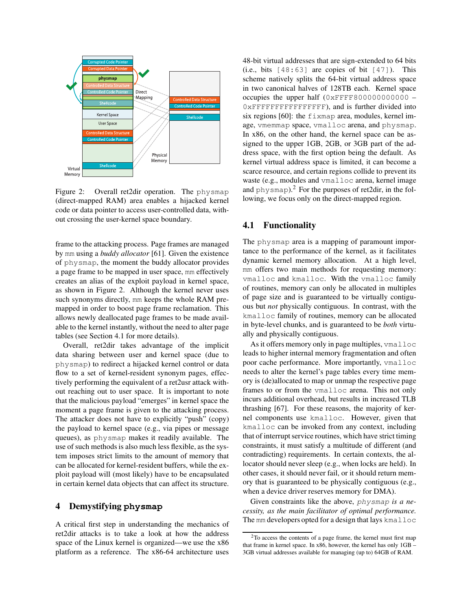

<span id="page-4-1"></span>Figure 2: Overall ret2dir operation. The physmap (direct-mapped RAM) area enables a hijacked kernel code or data pointer to access user-controlled data, without crossing the user-kernel space boundary.

frame to the attacking process. Page frames are managed by mm using a *buddy allocator* [\[61\]](#page-15-34). Given the existence of physmap, the moment the buddy allocator provides a page frame to be mapped in user space, mm effectively creates an alias of the exploit payload in kernel space, as shown in Figure [2.](#page-4-1) Although the kernel never uses such synonyms directly, mm keeps the whole RAM premapped in order to boost page frame reclamation. This allows newly deallocated page frames to be made available to the kernel instantly, without the need to alter page tables (see Section [4.1](#page-4-2) for more details).

Overall, ret2dir takes advantage of the implicit data sharing between user and kernel space (due to physmap) to redirect a hijacked kernel control or data flow to a set of kernel-resident synonym pages, effectively performing the equivalent of a ret2usr attack without reaching out to user space. It is important to note that the malicious payload "emerges" in kernel space the moment a page frame is given to the attacking process. The attacker does not have to explicitly "push" (copy) the payload to kernel space (e.g., via pipes or message queues), as physmap makes it readily available. The use of such methods is also much less flexible, as the system imposes strict limits to the amount of memory that can be allocated for kernel-resident buffers, while the exploit payload will (most likely) have to be encapsulated in certain kernel data objects that can affect its structure.

## <span id="page-4-0"></span>4 Demystifying **physmap**

A critical first step in understanding the mechanics of ret2dir attacks is to take a look at how the address space of the Linux kernel is organized—we use the x86 platform as a reference. The x86-64 architecture uses

48-bit virtual addresses that are sign-extended to 64 bits (i.e., bits  $[48:63]$  are copies of bit  $[47]$ ). This scheme natively splits the 64-bit virtual address space in two canonical halves of 128TB each. Kernel space occupies the upper half (0xFFFF800000000000 – 0xFFFFFFFFFFFFFFFF), and is further divided into six regions [\[60\]](#page-15-9): the fixmap area, modules, kernel image, vmemmap space, vmalloc arena, and physmap. In x86, on the other hand, the kernel space can be assigned to the upper 1GB, 2GB, or 3GB part of the address space, with the first option being the default. As kernel virtual address space is limited, it can become a scarce resource, and certain regions collide to prevent its waste (e.g., modules and vmalloc arena, kernel image and  $physmap$ ).<sup>[2](#page-4-3)</sup> For the purposes of ret2dir, in the following, we focus only on the direct-mapped region.

#### <span id="page-4-2"></span>4.1 Functionality

The physmap area is a mapping of paramount importance to the performance of the kernel, as it facilitates dynamic kernel memory allocation. At a high level, mm offers two main methods for requesting memory: vmalloc and kmalloc. With the vmalloc family of routines, memory can only be allocated in multiples of page size and is guaranteed to be virtually contiguous but *not* physically contiguous. In contrast, with the kmalloc family of routines, memory can be allocated in byte-level chunks, and is guaranteed to be *both* virtually and physically contiguous.

As it offers memory only in page multiples, vmalloc leads to higher internal memory fragmentation and often poor cache performance. More importantly, vmalloc needs to alter the kernel's page tables every time memory is (de)allocated to map or unmap the respective page frames to or from the vmalloc arena. This not only incurs additional overhead, but results in increased TLB thrashing [\[67\]](#page-15-35). For these reasons, the majority of kernel components use kmalloc. However, given that kmalloc can be invoked from any context, including that of interrupt service routines, which have strict timing constraints, it must satisfy a multitude of different (and contradicting) requirements. In certain contexts, the allocator should never sleep (e.g., when locks are held). In other cases, it should never fail, or it should return memory that is guaranteed to be physically contiguous (e.g., when a device driver reserves memory for DMA).

Given constraints like the above, physmap *is a necessity, as the main facilitator of optimal performance.* The mm developers opted for a design that lays kmalloc

<span id="page-4-3"></span><sup>2</sup>To access the contents of a page frame, the kernel must first map that frame in kernel space. In x86, however, the kernel has only 1GB – 3GB virtual addresses available for managing (up to) 64GB of RAM.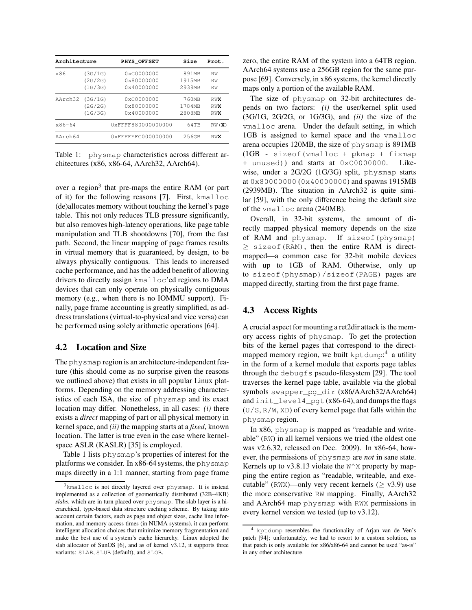| Architecture |                               | PHYS OFFSET                                              | Size                      | Prot.                    |
|--------------|-------------------------------|----------------------------------------------------------|---------------------------|--------------------------|
| x86          | (3G/1G)<br>(2G/2G)<br>(1G/3G) | 0xC0000000<br>$0 \times 80000000$<br>$0 \times 40000000$ | 891MB<br>1915MB<br>2939MB | RW<br>RW<br>RW           |
| AArch32      | (3G/1G)<br>(2G/2G)<br>(1G/3G) | 0xC0000000<br>0x80000000<br>$0 \times 40000000$          | 760MB<br>1784MB<br>2808MB | <b>RWX</b><br>RWX<br>RWX |
| $x86 - 64$   |                               | 0xFFFF880000000000                                       | 64TB                      | RW(X)                    |
| AArch64      |                               | 0xFFFFFFC000000000                                       | 256GB                     | RWX                      |

<span id="page-5-1"></span>Table 1: physmap characteristics across different architectures (x86, x86-64, AArch32, AArch64).

over a region<sup>[3](#page-5-0)</sup> that pre-maps the entire RAM (or part of it) for the following reasons [\[7\]](#page-14-40). First, kmalloc (de)allocates memory without touching the kernel's page table. This not only reduces TLB pressure significantly, but also removes high-latency operations, like page table manipulation and TLB shootdowns [\[70\]](#page-15-32), from the fast path. Second, the linear mapping of page frames results in virtual memory that is guaranteed, by design, to be always physically contiguous. This leads to increased cache performance, and has the added benefit of allowing drivers to directly assign kmalloc'ed regions to DMA devices that can only operate on physically contiguous memory (e.g., when there is no IOMMU support). Finally, page frame accounting is greatly simplified, as address translations (virtual-to-physical and vice versa) can be performed using solely arithmetic operations [\[64\]](#page-15-36).

## 4.2 Location and Size

The physmap region is an architecture-independent feature (this should come as no surprise given the reasons we outlined above) that exists in all popular Linux platforms. Depending on the memory addressing characteristics of each ISA, the size of physmap and its exact location may differ. Nonetheless, in all cases: *(i)* there exists a *direct* mapping of part or all physical memory in kernel space, and *(ii)* the mapping starts at a *fixed*, known location. The latter is true even in the case where kernelspace ASLR (KASLR) [\[35\]](#page-14-41) is employed.

Table [1](#page-5-1) lists physmap's properties of interest for the platforms we consider. In x86-64 systems, the physmap maps directly in a 1:1 manner, starting from page frame zero, the entire RAM of the system into a 64TB region. AArch64 systems use a 256GB region for the same purpose [\[69\]](#page-15-10). Conversely, in x86 systems, the kernel directly maps only a portion of the available RAM.

The size of physmap on 32-bit architectures depends on two factors: *(i)* the user/kernel split used (3G/1G, 2G/2G, or 1G/3G), and *(ii)* the size of the vmalloc arena. Under the default setting, in which 1GB is assigned to kernel space and the vmalloc arena occupies 120MB, the size of physmap is 891MB (1GB - sizeof(vmalloc + pkmap + fixmap + unused)) and starts at 0xC0000000. Likewise, under a 2G/2G (1G/3G) split, physmap starts at 0x80000000 (0x40000000) and spawns 1915MB (2939MB). The situation in AArch32 is quite similar [\[59\]](#page-15-37), with the only difference being the default size of the vmalloc arena (240MB).

Overall, in 32-bit systems, the amount of directly mapped physical memory depends on the size of RAM and physmap. If sizeof(physmap)  $\geq$  sizeof (RAM), then the entire RAM is directmapped—a common case for 32-bit mobile devices with up to 1GB of RAM. Otherwise, only up to sizeof(physmap)/sizeof(PAGE) pages are mapped directly, starting from the first page frame.

## 4.3 Access Rights

A crucial aspect for mounting a ret2dir attack is the memory access rights of physmap. To get the protection bits of the kernel pages that correspond to the direct-mapped memory region, we built kptdump:<sup>[4](#page-5-2)</sup> a utility in the form of a kernel module that exports page tables through the debugfs pseudo-filesystem [\[29\]](#page-14-43). The tool traverses the kernel page table, available via the global symbols swapper\_pg\_dir (x86/AArch32/AArch64) and init\_level4\_pgt (x86-64), and dumps the flags (U/S, R/W, XD) of every kernel page that falls within the physmap region.

In x86, physmap is mapped as "readable and writeable" (RW) in all kernel versions we tried (the oldest one was v2.6.32, released on Dec. 2009). In x86-64, however, the permissions of physmap are *not* in sane state. Kernels up to v3.8.13 violate the  $W^{\wedge}X$  property by mapping the entire region as "readable, writeable, and executable" (RWX)—only very recent kernels ( $\geq$  v3.9) use the more conservative RW mapping. Finally, AArch32 and AArch64 map physmap with RWX permissions in every kernel version we tested (up to v3.12).

<span id="page-5-0"></span><sup>3</sup>kmalloc is not directly layered over physmap. It is instead implemented as a collection of geometrically distributed (32B–4KB) *slabs*, which are in turn placed over physmap. The slab layer is a hierarchical, type-based data structure caching scheme. By taking into account certain factors, such as page and object sizes, cache line information, and memory access times (in NUMA systems), it can perform intelligent allocation choices that minimize memory fragmentation and make the best use of a system's cache hierarchy. Linux adopted the slab allocator of SunOS [\[6\]](#page-14-42), and as of kernel v3.12, it supports three variants: SLAB, SLUB (default), and SLOB.

<span id="page-5-2"></span><sup>4</sup> kptdump resembles the functionality of Arjan van de Ven's patch [\[94\]](#page-15-38); unfortunately, we had to resort to a custom solution, as that patch is only available for x86/x86-64 and cannot be used "as-is" in any other architecture.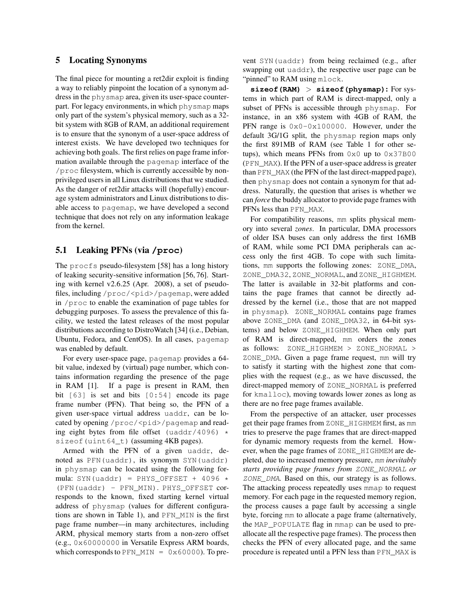#### <span id="page-6-1"></span>5 Locating Synonyms

The final piece for mounting a ret2dir exploit is finding a way to reliably pinpoint the location of a synonym address in the physmap area, given its user-space counterpart. For legacy environments, in which physmap maps only part of the system's physical memory, such as a 32 bit system with 8GB of RAM, an additional requirement is to ensure that the synonym of a user-space address of interest exists. We have developed two techniques for achieving both goals. The first relies on page frame information available through the pagemap interface of the /proc filesystem, which is currently accessible by nonprivileged users in all Linux distributions that we studied. As the danger of ret2dir attacks will (hopefully) encourage system administrators and Linux distributions to disable access to pagemap, we have developed a second technique that does not rely on any information leakage from the kernel.

## <span id="page-6-0"></span>5.1 Leaking PFNs (via **/proc**)

The procfs pseudo-filesystem [\[58\]](#page-15-39) has a long history of leaking security-sensitive information [\[56,](#page-15-40) [76\]](#page-15-41). Starting with kernel v2.6.25 (Apr. 2008), a set of pseudofiles, including /proc/<pid>/pagemap, were added in /proc to enable the examination of page tables for debugging purposes. To assess the prevalence of this facility, we tested the latest releases of the most popular distributions according to DistroWatch [\[34\]](#page-14-44) (i.e., Debian, Ubuntu, Fedora, and CentOS). In all cases, pagemap was enabled by default.

For every user-space page, pagemap provides a 64 bit value, indexed by (virtual) page number, which contains information regarding the presence of the page in RAM [\[1\]](#page-14-45). If a page is present in RAM, then bit [63] is set and bits [0:54] encode its page frame number (PFN). That being so, the PFN of a given user-space virtual address uaddr, can be located by opening /proc/<pid>/pagemap and reading eight bytes from file offset (uaddr/4096)  $\star$ sizeof(uint64\_t)(assuming 4KB pages).

Armed with the PFN of a given uaddr, denoted as PFN(uaddr), its synonym SYN(uaddr) in physmap can be located using the following formula: SYN(uaddr) = PHYS\_OFFSET + 4096  $\star$ (PFN(uaddr) - PFN\_MIN). PHYS\_OFFSET corresponds to the known, fixed starting kernel virtual address of physmap (values for different configurations are shown in Table [1\)](#page-5-1), and PFN\_MIN is the first page frame number—in many architectures, including ARM, physical memory starts from a non-zero offset (e.g., 0x60000000 in Versatile Express ARM boards, which corresponds to PFN\_MIN =  $0x60000$ ). To prevent SYN(uaddr) from being reclaimed (e.g., after swapping out uaddr), the respective user page can be "pinned" to RAM using mlock.

**sizeof(RAM)** > **sizeof(physmap)**: For systems in which part of RAM is direct-mapped, only a subset of PFNs is accessible through physmap. For instance, in an x86 system with 4GB of RAM, the PFN range is  $0 \times 0 - 0 \times 100000$ . However, under the default 3G/1G split, the physmap region maps only the first 891MB of RAM (see Table [1](#page-5-1) for other setups), which means PFNs from 0x0 up to 0x37B00 (PFN\_MAX). If the PFN of a user-space address is greater than PFN\_MAX (the PFN of the last direct-mapped page), then physmap does not contain a synonym for that address. Naturally, the question that arises is whether we can *force* the buddy allocator to provide page frames with PFNs less than PFN\_MAX.

For compatibility reasons, mm splits physical memory into several *zones*. In particular, DMA processors of older ISA buses can only address the first 16MB of RAM, while some PCI DMA peripherals can access only the first 4GB. To cope with such limitations, mm supports the following zones: ZONE\_DMA, ZONE\_DMA32, ZONE\_NORMAL, and ZONE\_HIGHMEM. The latter is available in 32-bit platforms and contains the page frames that cannot be directly addressed by the kernel (i.e., those that are not mapped in physmap). ZONE\_NORMAL contains page frames above ZONE\_DMA (and ZONE\_DMA32, in 64-bit systems) and below ZONE\_HIGHMEM. When only part of RAM is direct-mapped, mm orders the zones as follows: ZONE\_HIGHMEM > ZONE\_NORMAL > ZONE\_DMA. Given a page frame request, mm will try to satisfy it starting with the highest zone that complies with the request (e.g., as we have discussed, the direct-mapped memory of ZONE\_NORMAL is preferred for kmalloc), moving towards lower zones as long as there are no free page frames available.

From the perspective of an attacker, user processes get their page frames from ZONE\_HIGHMEM first, as mm tries to preserve the page frames that are direct-mapped for dynamic memory requests from the kernel. However, when the page frames of ZONE\_HIGHMEM are depleted, due to increased memory pressure, mm *inevitably starts providing page frames from* ZONE\_NORMAL *or* ZONE\_DMA*.* Based on this, our strategy is as follows. The attacking process repeatedly uses mmap to request memory. For each page in the requested memory region, the process causes a page fault by accessing a single byte, forcing mm to allocate a page frame (alternatively, the MAP\_POPULATE flag in mmap can be used to preallocate all the respective page frames). The process then checks the PFN of every allocated page, and the same procedure is repeated until a PFN less than PFN\_MAX is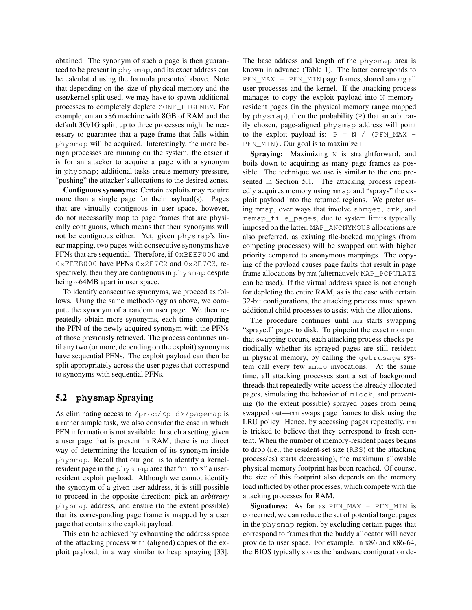obtained. The synonym of such a page is then guaranteed to be present in physmap, and its exact address can be calculated using the formula presented above. Note that depending on the size of physical memory and the user/kernel split used, we may have to spawn additional processes to completely deplete ZONE\_HIGHMEM. For example, on an x86 machine with 8GB of RAM and the default 3G/1G split, up to three processes might be necessary to guarantee that a page frame that falls within physmap will be acquired. Interestingly, the more benign processes are running on the system, the easier it is for an attacker to acquire a page with a synonym in physmap; additional tasks create memory pressure, "pushing" the attacker's allocations to the desired zones.

Contiguous synonyms: Certain exploits may require more than a single page for their payload(s). Pages that are virtually contiguous in user space, however, do not necessarily map to page frames that are physically contiguous, which means that their synonyms will not be contiguous either. Yet, given physmap's linear mapping, two pages with consecutive synonyms have PFNs that are sequential. Therefore, if  $0xBEEF000$  and 0xFEEB000 have PFNs 0x2E7C2 and 0x2E7C3, respectively, then they are contiguous in physmap despite being ∼64MB apart in user space.

To identify consecutive synonyms, we proceed as follows. Using the same methodology as above, we compute the synonym of a random user page. We then repeatedly obtain more synonyms, each time comparing the PFN of the newly acquired synonym with the PFNs of those previously retrieved. The process continues until any two (or more, depending on the exploit) synonyms have sequential PFNs. The exploit payload can then be split appropriately across the user pages that correspond to synonyms with sequential PFNs.

## <span id="page-7-0"></span>5.2 **physmap** Spraying

As eliminating access to /proc/<pid>/pagemap is a rather simple task, we also consider the case in which PFN information is not available. In such a setting, given a user page that is present in RAM, there is no direct way of determining the location of its synonym inside physmap. Recall that our goal is to identify a kernelresident page in the physmap area that "mirrors" a userresident exploit payload. Although we cannot identify the synonym of a given user address, it is still possible to proceed in the opposite direction: pick an *arbitrary* physmap address, and ensure (to the extent possible) that its corresponding page frame is mapped by a user page that contains the exploit payload.

This can be achieved by exhausting the address space of the attacking process with (aligned) copies of the exploit payload, in a way similar to heap spraying [\[33\]](#page-14-46). The base address and length of the physmap area is known in advance (Table [1\)](#page-5-1). The latter corresponds to PFN\_MAX - PFN\_MIN page frames, shared among all user processes and the kernel. If the attacking process manages to copy the exploit payload into N memoryresident pages (in the physical memory range mapped by  $physmap$ ), then the probability  $(P)$  that an arbitrarily chosen, page-aligned physmap address will point to the exploit payload is:  $P = N / (PFN_MAX -$ PFN\_MIN). Our goal is to maximize P.

Spraying: Maximizing N is straightforward, and boils down to acquiring as many page frames as possible. The technique we use is similar to the one presented in Section [5.1.](#page-6-0) The attacking process repeatedly acquires memory using mmap and "sprays" the exploit payload into the returned regions. We prefer using mmap, over ways that involve shmget, brk, and remap\_file\_pages, due to system limits typically imposed on the latter. MAP\_ANONYMOUS allocations are also preferred, as existing file-backed mappings (from competing processes) will be swapped out with higher priority compared to anonymous mappings. The copying of the payload causes page faults that result in page frame allocations by mm (alternatively MAP\_POPULATE can be used). If the virtual address space is not enough for depleting the entire RAM, as is the case with certain 32-bit configurations, the attacking process must spawn additional child processes to assist with the allocations.

The procedure continues until mm starts swapping "sprayed" pages to disk. To pinpoint the exact moment that swapping occurs, each attacking process checks periodically whether its sprayed pages are still resident in physical memory, by calling the getrusage system call every few mmap invocations. At the same time, all attacking processes start a set of background threads that repeatedly write-access the already allocated pages, simulating the behavior of mlock, and preventing (to the extent possible) sprayed pages from being swapped out—mm swaps page frames to disk using the LRU policy. Hence, by accessing pages repeatedly, mm is tricked to believe that they correspond to fresh content. When the number of memory-resident pages begins to drop (i.e., the resident-set size (RSS) of the attacking process(es) starts decreasing), the maximum allowable physical memory footprint has been reached. Of course, the size of this footprint also depends on the memory load inflicted by other processes, which compete with the attacking processes for RAM.

Signatures: As far as PFN\_MAX - PFN\_MIN is concerned, we can reduce the set of potential target pages in the physmap region, by excluding certain pages that correspond to frames that the buddy allocator will never provide to user space. For example, in x86 and x86-64, the BIOS typically stores the hardware configuration de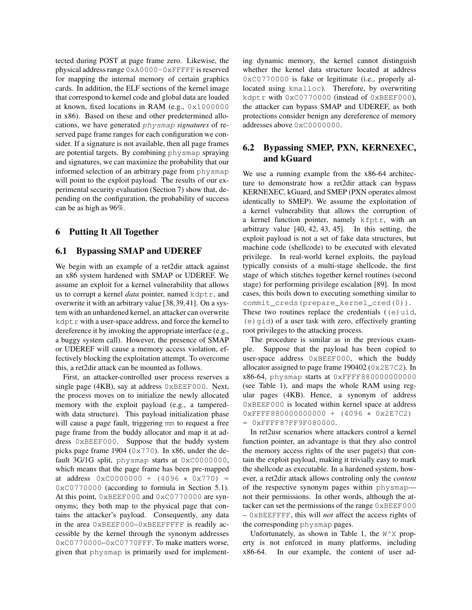tected during POST at page frame zero. Likewise, the physical address range 0xA0000-0xFFFFF is reserved for mapping the internal memory of certain graphics cards. In addition, the ELF sections of the kernel image that correspond to kernel code and global data are loaded at known, fixed locations in RAM (e.g., 0x1000000 in x86). Based on these and other predetermined allocations, we have generated physmap *signatures* of reserved page frame ranges for each configuration we consider. If a signature is not available, then all page frames are potential targets. By combining physmap spraying and signatures, we can maximize the probability that our informed selection of an arbitrary page from physmap will point to the exploit payload. The results of our experimental security evaluation (Section [7\)](#page-9-0) show that, depending on the configuration, the probability of success can be as high as 96%.

## 6 Putting It All Together

## 6.1 Bypassing SMAP and UDEREF

We begin with an example of a ret2dir attack against an x86 system hardened with SMAP or UDEREF. We assume an exploit for a kernel vulnerability that allows us to corrupt a kernel *data* pointer, named kdptr, and overwrite it with an arbitrary value [\[38,](#page-14-33)[39,](#page-14-34)[41\]](#page-14-35). On a system with an unhardened kernel, an attacker can overwrite kdptr with a user-space address, and force the kernel to dereference it by invoking the appropriate interface (e.g., a buggy system call). However, the presence of SMAP or UDEREF will cause a memory access violation, effectively blocking the exploitation attempt. To overcome this, a ret2dir attack can be mounted as follows.

First, an attacker-controlled user process reserves a single page (4KB), say at address 0xBEEF000. Next, the process moves on to initialize the newly allocated memory with the exploit payload (e.g., a tamperedwith data structure). This payload initialization phase will cause a page fault, triggering mm to request a free page frame from the buddy allocator and map it at address 0xBEEF000. Suppose that the buddy system picks page frame 1904 (0x770). In x86, under the default 3G/1G split, physmap starts at 0xC0000000, which means that the page frame has been pre-mapped at address 0xC0000000 + (4096 ∗ 0x770) = 0xC0770000 (according to formula in Section [5.1\)](#page-6-0). At this point, 0xBEEF000 and 0xC0770000 are synonyms; they both map to the physical page that contains the attacker's payload. Consequently, any data in the area 0xBEEF000–0xBEEFFFFF is readily accessible by the kernel through the synonym addresses 0xC0770000–0xC0770FFF. To make matters worse, given that physmap is primarily used for implementing dynamic memory, the kernel cannot distinguish whether the kernel data structure located at address 0xC0770000 is fake or legitimate (i.e., properly allocated using kmalloc). Therefore, by overwriting kdptr with 0xC0770000 (instead of 0xBEEF000), the attacker can bypass SMAP and UDEREF, as both protections consider benign any dereference of memory addresses above 0xC0000000.

# <span id="page-8-0"></span>6.2 Bypassing SMEP, PXN, KERNEXEC, and kGuard

We use a running example from the x86-64 architecture to demonstrate how a ret2dir attack can bypass KERNEXEC, kGuard, and SMEP (PXN operates almost identically to SMEP). We assume the exploitation of a kernel vulnerability that allows the corruption of a kernel function pointer, namely kfptr, with an arbitrary value [\[40,](#page-14-29) [42,](#page-14-30) [43,](#page-14-31) [45\]](#page-14-32). In this setting, the exploit payload is not a set of fake data structures, but machine code (shellcode) to be executed with elevated privilege. In real-world kernel exploits, the payload typically consists of a multi-stage shellcode, the first stage of which stitches together kernel routines (second stage) for performing privilege escalation [\[89\]](#page-15-16). In most cases, this boils down to executing something similar to commit\_creds(prepare\_kernel\_cred(0)). These two routines replace the credentials  $(e)$ uid,  $(e)$  qid) of a user task with zero, effectively granting root privileges to the attacking process.

The procedure is similar as in the previous example. Suppose that the payload has been copied to user-space address 0xBEEF000, which the buddy allocator assigned to page frame 190402 (0x2E7C2). In x86-64, physmap starts at 0xFFFF880000000000 (see Table [1\)](#page-5-1), and maps the whole RAM using regular pages (4KB). Hence, a synonym of address 0xBEEF000 is located within kernel space at address 0xFFFF880000000000 + (4096 ∗ 0x2E7C2) = 0xFFFF87FF9F080000.

In ret2usr scenarios where attackers control a kernel function pointer, an advantage is that they also control the memory access rights of the user page(s) that contain the exploit payload, making it trivially easy to mark the shellcode as executable. In a hardened system, however, a ret2dir attack allows controling only the *content* of the respective synonym pages within physmap not their permissions. In other words, although the attacker can set the permissions of the range 0xBEEF000 – 0xBEEFFFF, this will *not* affect the access rights of the corresponding physmap pages.

Unfortunately, as shown in Table [1,](#page-5-1) the  $W^{\wedge}X$  property is not enforced in many platforms, including x86-64. In our example, the content of user ad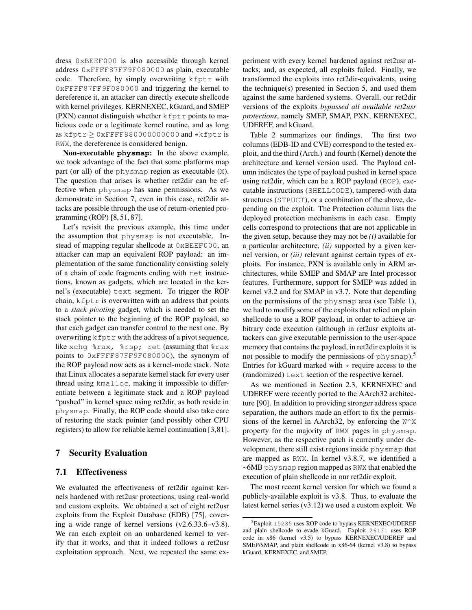dress 0xBEEF000 is also accessible through kernel address 0xFFFF87FF9F080000 as plain, executable code. Therefore, by simply overwriting kfptr with 0xFFFF87FF9F080000 and triggering the kernel to dereference it, an attacker can directly execute shellcode with kernel privileges. KERNEXEC, kGuard, and SMEP  $(PXN)$  cannot distinguish whether  $k$  fptr points to malicious code or a legitimate kernel routine, and as long as kfptr  $\geq$  0xFFFF880000000000 and \*kfptr is RWX, the dereference is considered benign.

Non-executable **physmap**: In the above example, we took advantage of the fact that some platforms map part (or all) of the physmap region as executable (X). The question that arises is whether ret2dir can be effective when physmap has sane permissions. As we demonstrate in Section [7,](#page-9-0) even in this case, ret2dir attacks are possible through the use of return-oriented programming (ROP) [\[8,](#page-14-37) [51,](#page-15-19) [87\]](#page-15-20).

Let's revisit the previous example, this time under the assumption that physmap is not executable. Instead of mapping regular shellcode at 0xBEEF000, an attacker can map an equivalent ROP payload: an implementation of the same functionality consisting solely of a chain of code fragments ending with ret instructions, known as gadgets, which are located in the kernel's (executable) text segment. To trigger the ROP chain,  $k$  fptr is overwritten with an address that points to a *stack pivoting* gadget, which is needed to set the stack pointer to the beginning of the ROP payload, so that each gadget can transfer control to the next one. By overwriting  $k fptr$  with the address of a pivot sequence, like xchg %rax, %rsp; ret (assuming that %rax points to 0xFFFF87FF9F080000), the synonym of the ROP payload now acts as a kernel-mode stack. Note that Linux allocates a separate kernel stack for every user thread using kmalloc, making it impossible to differentiate between a legitimate stack and a ROP payload "pushed" in kernel space using ret2dir, as both reside in physmap. Finally, the ROP code should also take care of restoring the stack pointer (and possibly other CPU registers) to allow for reliable kernel continuation [\[3,](#page-14-47)[81\]](#page-15-14).

## <span id="page-9-0"></span>7 Security Evaluation

#### <span id="page-9-2"></span>7.1 Effectiveness

We evaluated the effectiveness of ret2dir against kernels hardened with ret2usr protections, using real-world and custom exploits. We obtained a set of eight ret2usr exploits from the Exploit Database (EDB) [\[75\]](#page-15-42), covering a wide range of kernel versions (v2.6.33.6–v3.8). We ran each exploit on an unhardened kernel to verify that it works, and that it indeed follows a ret2usr exploitation approach. Next, we repeated the same experiment with every kernel hardened against ret2usr attacks, and, as expected, all exploits failed. Finally, we transformed the exploits into ret2dir-equivalents, using the technique(s) presented in Section [5,](#page-6-1) and used them against the same hardened systems. Overall, our ret2dir versions of the exploits *bypassed all available ret2usr protections*, namely SMEP, SMAP, PXN, KERNEXEC, UDEREF, and kGuard.

Table [2](#page-10-0) summarizes our findings. The first two columns (EDB-ID and CVE) correspond to the tested exploit, and the third (Arch.) and fourth (Kernel) denote the architecture and kernel version used. The Payload column indicates the type of payload pushed in kernel space using ret2dir, which can be a ROP payload (ROP), executable instructions (SHELLCODE), tampered-with data structures (STRUCT), or a combination of the above, depending on the exploit. The Protection column lists the deployed protection mechanisms in each case. Empty cells correspond to protections that are not applicable in the given setup, because they may not be *(i)* available for a particular architecture, *(ii)* supported by a given kernel version, or *(iii)* relevant against certain types of exploits. For instance, PXN is available only in ARM architectures, while SMEP and SMAP are Intel processor features. Furthermore, support for SMEP was added in kernel v3.2 and for SMAP in v3.7. Note that depending on the permissions of the physmap area (see Table [1\)](#page-5-1), we had to modify some of the exploits that relied on plain shellcode to use a ROP payload, in order to achieve arbitrary code execution (although in ret2usr exploits attackers can give executable permission to the user-space memory that contains the payload, in ret2dir exploits it is not possible to modify the permissions of  $phy \, \text{smap}$ .<sup>[5](#page-9-1)</sup> Entries for kGuard marked with  $\star$  require access to the (randomized) text section of the respective kernel.

As we mentioned in Section [2.3,](#page-2-1) KERNEXEC and UDEREF were recently ported to the AArch32 architecture [\[90\]](#page-15-30). In addition to providing stronger address space separation, the authors made an effort to fix the permissions of the kernel in AArch32, by enforcing the  $W^{\wedge}X$ property for the majority of RWX pages in physmap. However, as the respective patch is currently under development, there still exist regions inside physmap that are mapped as RWX. In kernel v3.8.7, we identified a ~6MB physmap region mapped as RWX that enabled the execution of plain shellcode in our ret2dir exploit.

The most recent kernel version for which we found a publicly-available exploit is v3.8. Thus, to evaluate the latest kernel series (v3.12) we used a custom exploit. We

<span id="page-9-1"></span><sup>5</sup>Exploit 15285 uses ROP code to bypass KERNEXEC/UDEREF and plain shellcode to evade kGuard. Exploit 26131 uses ROP code in x86 (kernel v3.5) to bypass KERNEXEC/UDEREF and SMEP/SMAP, and plain shellcode in x86-64 (kernel v3.8) to bypass kGuard, KERNEXEC, and SMEP.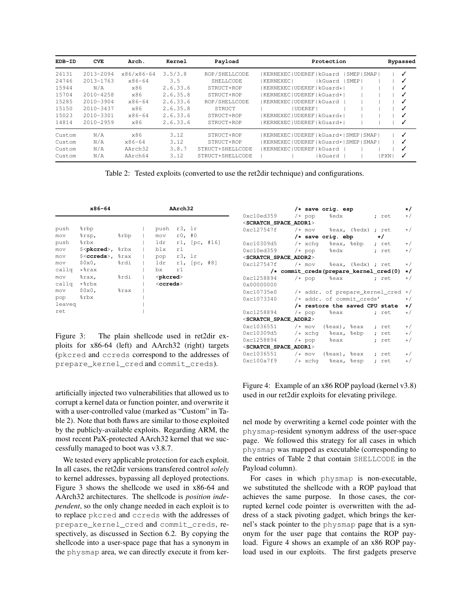| EDB-ID           | <b>CVE</b>                     | Arch.                 | Kernel               | Payload                        | Protection                                                                 |     | <b>Bypassed</b> |
|------------------|--------------------------------|-----------------------|----------------------|--------------------------------|----------------------------------------------------------------------------|-----|-----------------|
| 26131            | $2013 - 2094$                  | x86/x86-64            | 3.5/3.8              | ROP/SHELLCODE                  | KERNEXEC   UDEREF   kGuard<br>SMEP   SMAP                                  |     |                 |
| 24746<br>15944   | $2013 - 1763$<br>N/A           | $x86 - 64$<br>x86     | 3.5<br>2.6.33.6      | SHELLCODE<br>STRUCT+ROP        | KERNEXEC  <br>SMEP<br>  kGuard<br>KERNEXEC   UDEREF   kGuard*              |     | ✓               |
| 15704            | $2010 - 4258$                  | x86                   | 2.6.35.8             | STRUCT+ROP                     | KERNEXEC   UDEREF   kGuard*                                                |     | ✓               |
| 15285<br>15150   | $2010 - 3904$<br>$2010 - 3437$ | $x86 - 64$<br>x86     | 2.6.33.6<br>2.6.35.8 | ROP/SHELLCODE<br>STRUCT        | KERNEXEC   UDEREF   kGuard<br>UDEREF1                                      |     | ✓               |
| 15023            | $2010 - 3301$                  | $x86 - 64$            | 2.6.33.6             | STRUCT+ROP                     | KERNEXEC   UDEREF   kGuard*                                                |     |                 |
| 14814            | $2010 - 2959$                  | x86                   | 2.6.33.6             | STRUCT+ROP                     | KERNEXEC   UDEREF   kGuard*                                                |     | ✓               |
| Custom           | N/A                            | x86                   | 3.12                 | STRUCT+ROP                     | KERNEXEC UDEREF kGuard* SMEP SMAP                                          |     | ✓               |
| Custom<br>Custom | N/A<br>N/A                     | $x86 - 64$<br>AArch32 | 3.12<br>3.8.7        | STRUCT+ROP<br>STRUCT+SHELLCODE | KERNEXEC   UDEREF   kGuard *   SMEP   SMAP  <br>KERNEXEC   UDEREF   kGuard |     | ✓               |
| Custom           | N/A                            | AArch64               | 3.12                 | STRUCT+SHELLCODE               | kGuard                                                                     | PXN |                 |

<span id="page-10-0"></span>Table 2: Tested exploits (converted to use the ret2dir technique) and configurations.

| $x86 - 64$                 |                            |      | AArch32                    |        |               |  |  |
|----------------------------|----------------------------|------|----------------------------|--------|---------------|--|--|
|                            |                            |      |                            |        |               |  |  |
| push                       | %rbp                       |      | push r3, 1r                |        |               |  |  |
| mov                        | %rsp,                      | %rbp | mov                        | r0, #0 |               |  |  |
| push                       | %rbx                       |      | ldr                        |        | r1, [pc, #16] |  |  |
| mov                        | \$ <pkcred>, %rbx</pkcred> |      | blx                        | r1     |               |  |  |
| mov                        | \$ <ccreds>, %rax</ccreds> |      | pop r3, 1r                 |        |               |  |  |
| mov                        | $$0x0$ ,                   | %rdi | $ldr$ $rl$ , $pc$ , $#8$ ] |        |               |  |  |
| callg *%rax                |                            |      | bx                         | r1     |               |  |  |
| mov                        | %rax,                      | %rdi | <pkcred></pkcred>          |        |               |  |  |
| callq $*$ <sup>8</sup> rbx |                            |      | $<$ c $<$ reds $>$         |        |               |  |  |
| mov                        | $$0x0$ ,                   | %rax |                            |        |               |  |  |
| pop                        | %rbx                       |      |                            |        |               |  |  |
| leaveg                     |                            |      |                            |        |               |  |  |
| ret                        |                            |      |                            |        |               |  |  |

<span id="page-10-1"></span>Figure 3: The plain shellcode used in ret2dir exploits for x86-64 (left) and AArch32 (right) targets (pkcred and ccreds correspond to the addresses of prepare\_kernel\_cred and commit\_creds).

artificially injected two vulnerabilities that allowed us to corrupt a kernel data or function pointer, and overwrite it with a user-controlled value (marked as "Custom" in Table [2\)](#page-10-0). Note that both flaws are similar to those exploited by the publicly-available exploits. Regarding ARM, the most recent PaX-protected AArch32 kernel that we successfully managed to boot was v3.8.7.

We tested every applicable protection for each exploit. In all cases, the ret2dir versions transfered control *solely* to kernel addresses, bypassing all deployed protections. Figure [3](#page-10-1) shows the shellcode we used in x86-64 and AArch32 architectures. The shellcode is *position independent*, so the only change needed in each exploit is to to replace pkcred and ccreds with the addresses of prepare\_kernel\_cred and commit\_creds, respectively, as discussed in Section [6.2.](#page-8-0) By copying the shellcode into a user-space page that has a synonym in the physmap area, we can directly execute it from ker-

|                                                                        |  | /* save orig. esp |                                    |       | $\star$ / |
|------------------------------------------------------------------------|--|-------------------|------------------------------------|-------|-----------|
| $0xc10ed359$ /* pop %edx                                               |  |                   |                                    | ; ret | $\star/$  |
| $<$ SCRATCH SPACE ADDR $1>$                                            |  |                   |                                    |       |           |
| $0 \times 127547f$ /* mov $\text{seax}$ , ( $\text{sedx}$ ); ret       |  |                   |                                    |       | $\star/$  |
|                                                                        |  |                   | $/*$ save orig. ebp $*/$           |       |           |
| $0 \times 10309d5$ /* $xchq$ %eax, %ebp ; ret */                       |  |                   |                                    |       |           |
| $0 \times 10$ ed359 /* pop %edx ; ret                                  |  |                   |                                    |       | $\star/$  |
| $<$ SCRATCH SPACE ADDR $2>$                                            |  |                   |                                    |       |           |
| $0 \times 127547f$ /* mov $\frac{1}{2}$ eax, ( $\frac{1}{2}$ edx); ret |  |                   |                                    |       | $\star/$  |
| /* commit_creds(prepare_kernel_cred(0) */                              |  |                   |                                    |       |           |
| 0xc1258894                                                             |  |                   | $/*$ pop $%$ eax                   | ; ret | $\star/$  |
| 0x00000000                                                             |  |                   |                                    |       |           |
|                                                                        |  |                   |                                    |       |           |
| 0xc10735e0                                                             |  |                   | /* addr. of prepare_kernel_cred */ |       |           |
| 0xc1073340                                                             |  |                   | /* addr. of commit_creds'          |       | $\star/$  |
|                                                                        |  |                   | /* restore the saved CPU state     |       | $\star/$  |
| 0xc1258894                                                             |  |                   | $/*$ pop $%$ eax ; ret             |       | $\star/$  |
| <scratch_space_addr2></scratch_space_addr2>                            |  |                   |                                    |       |           |
| 0xc1036551                                                             |  |                   | $/*$ mov (%eax), %eax ; ret $*/$   |       |           |
| 0xc10309d5                                                             |  |                   |                                    |       |           |
| 0xc1258894                                                             |  |                   | $/*$ pop $%$ eax                   | ; ret | $\star/$  |
| $<$ SCRATCH SPACE ADDR $1>$                                            |  |                   |                                    |       |           |
| 0xc1036551                                                             |  |                   | $/*$ mov (%eax), %eax ; ret $*/$   |       |           |

<span id="page-10-2"></span>Figure 4: Example of an x86 ROP payload (kernel v3.8) used in our ret2dir exploits for elevating privilege.

nel mode by overwriting a kernel code pointer with the physmap-resident synonym address of the user-space page. We followed this strategy for all cases in which physmap was mapped as executable (corresponding to the entries of Table [2](#page-10-0) that contain SHELLCODE in the Payload column).

For cases in which physmap is non-executable, we substituted the shellcode with a ROP payload that achieves the same purpose. In those cases, the corrupted kernel code pointer is overwritten with the address of a stack pivoting gadget, which brings the kernel's stack pointer to the physmap page that is a synonym for the user page that contains the ROP payload. Figure [4](#page-10-2) shows an example of an x86 ROP payload used in our exploits. The first gadgets preserve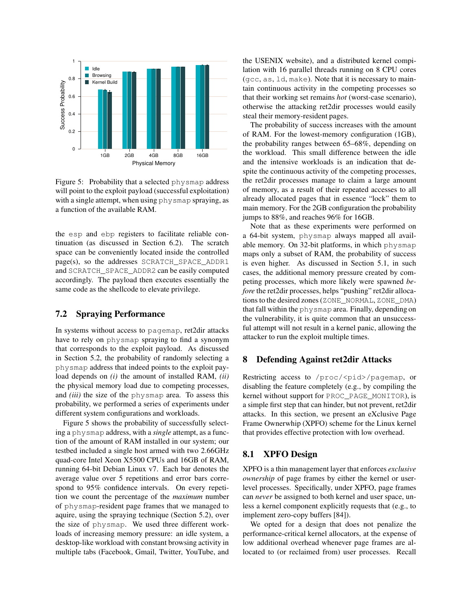

<span id="page-11-0"></span>Figure 5: Probability that a selected physmap address will point to the exploit payload (successful exploitation) with a single attempt, when using physmap spraying, as a function of the available RAM.

the esp and ebp registers to facilitate reliable continuation (as discussed in Section [6.2\)](#page-8-0). The scratch space can be conveniently located inside the controlled page(s), so the addresses SCRATCH\_SPACE\_ADDR1 and SCRATCH\_SPACE\_ADDR2 can be easily computed accordingly. The payload then executes essentially the same code as the shellcode to elevate privilege.

## <span id="page-11-1"></span>7.2 Spraying Performance

In systems without access to pagemap, ret2dir attacks have to rely on physmap spraying to find a synonym that corresponds to the exploit payload. As discussed in Section [5.2,](#page-7-0) the probability of randomly selecting a physmap address that indeed points to the exploit payload depends on *(i)* the amount of installed RAM, *(ii)* the physical memory load due to competing processes, and *(iii)* the size of the physmap area. To assess this probability, we performed a series of experiments under different system configurations and workloads.

Figure [5](#page-11-0) shows the probability of successfully selecting a physmap address, with a *single* attempt, as a function of the amount of RAM installed in our system; our testbed included a single host armed with two 2.66GHz quad-core Intel Xeon X5500 CPUs and 16GB of RAM, running 64-bit Debian Linux v7. Each bar denotes the average value over 5 repetitions and error bars correspond to 95% confidence intervals. On every repetition we count the percentage of the *maximum* number of physmap-resident page frames that we managed to aquire, using the spraying technique (Section [5.2\)](#page-7-0), over the size of physmap. We used three different workloads of increasing memory pressure: an idle system, a desktop-like workload with constant browsing activity in multiple tabs (Facebook, Gmail, Twitter, YouTube, and the USENIX website), and a distributed kernel compilation with 16 parallel threads running on 8 CPU cores (gcc, as, ld, make). Note that it is necessary to maintain continuous activity in the competing processes so that their working set remains *hot* (worst-case scenario), otherwise the attacking ret2dir processes would easily steal their memory-resident pages.

The probability of success increases with the amount of RAM. For the lowest-memory configuration (1GB), the probability ranges between 65–68%, depending on the workload. This small difference between the idle and the intensive workloads is an indication that despite the continuous activity of the competing processes, the ret2dir processes manage to claim a large amount of memory, as a result of their repeated accesses to all already allocated pages that in essence "lock" them to main memory. For the 2GB configuration the probability jumps to 88%, and reaches 96% for 16GB.

Note that as these experiments were performed on a 64-bit system, physmap always mapped all available memory. On 32-bit platforms, in which physmap maps only a subset of RAM, the probability of success is even higher. As discussed in Section [5.1,](#page-6-0) in such cases, the additional memory pressure created by competing processes, which more likely were spawned *before* the ret2dir processes, helps "pushing" ret2dir allocations to the desired zones (ZONE\_NORMAL, ZONE\_DMA) that fall within the physmap area. Finally, depending on the vulnerability, it is quite common that an unsuccessful attempt will not result in a kernel panic, allowing the attacker to run the exploit multiple times.

## 8 Defending Against ret2dir Attacks

Restricting access to /proc/<pid>/pagemap, or disabling the feature completely (e.g., by compiling the kernel without support for PROC\_PAGE\_MONITOR), is a simple first step that can hinder, but not prevent, ret2dir attacks. In this section, we present an eXclusive Page Frame Ownerwhip (XPFO) scheme for the Linux kernel that provides effective protection with low overhead.

## 8.1 XPFO Design

XPFO is a thin management layer that enforces *exclusive ownership* of page frames by either the kernel or userlevel processes. Specifically, under XPFO, page frames can *never* be assigned to both kernel and user space, unless a kernel component explicitly requests that (e.g., to implement zero-copy buffers [\[84\]](#page-15-43)).

We opted for a design that does not penalize the performance-critical kernel allocators, at the expense of low additional overhead whenever page frames are allocated to (or reclaimed from) user processes. Recall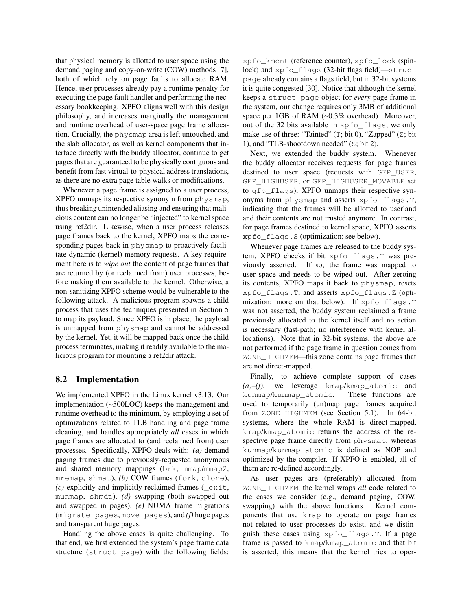that physical memory is allotted to user space using the demand paging and copy-on-write (COW) methods [\[7\]](#page-14-40), both of which rely on page faults to allocate RAM. Hence, user processes already pay a runtime penalty for executing the page fault handler and performing the necessary bookkeeping. XPFO aligns well with this design philosophy, and increases marginally the management and runtime overhead of user-space page frame allocation. Crucially, the physmap area is left untouched, and the slab allocator, as well as kernel components that interface directly with the buddy allocator, continue to get pages that are guaranteed to be physically contiguous and benefit from fast virtual-to-physical address translations, as there are no extra page table walks or modifications.

Whenever a page frame is assigned to a user process, XPFO unmaps its respective synonym from physmap, thus breaking unintended aliasing and ensuring that malicious content can no longer be "injected" to kernel space using ret2dir. Likewise, when a user process releases page frames back to the kernel, XPFO maps the corresponding pages back in physmap to proactively facilitate dynamic (kernel) memory requests. A key requirement here is to *wipe out* the content of page frames that are returned by (or reclaimed from) user processes, before making them available to the kernel. Otherwise, a non-sanitizing XPFO scheme would be vulnerable to the following attack. A malicious program spawns a child process that uses the techniques presented in Section [5](#page-6-1) to map its payload. Since XPFO is in place, the payload is unmapped from physmap and cannot be addressed by the kernel. Yet, it will be mapped back once the child process terminates, making it readily available to the malicious program for mounting a ret2dir attack.

#### 8.2 Implementation

We implemented XPFO in the Linux kernel v3.13. Our implementation (∼500LOC) keeps the management and runtime overhead to the minimum, by employing a set of optimizations related to TLB handling and page frame cleaning, and handles appropriately *all* cases in which page frames are allocated to (and reclaimed from) user processes. Specifically, XPFO deals with: *(a)* demand paging frames due to previously-requested anonymous and shared memory mappings (brk, mmap/mmap2, mremap, shmat), *(b)* COW frames (fork, clone),  $(c)$  explicitly and implicitly reclaimed frames  $($  $)$ exit, munmap, shmdt), *(d)* swapping (both swapped out and swapped in pages), *(e)* NUMA frame migrations (migrate\_pages, move\_pages), and *(f)* huge pages and transparent huge pages.

Handling the above cases is quite challenging. To that end, we first extended the system's page frame data structure (struct page) with the following fields: xpfo\_kmcnt (reference counter), xpfo\_lock (spinlock) and xpfo\_flags (32-bit flags field)—struct page already contains a flags field, but in 32-bit systems it is quite congested [\[30\]](#page-14-48). Notice that although the kernel keeps a struct page object for *every* page frame in the system, our change requires only 3MB of additional space per 1GB of RAM (∼0.3% overhead). Moreover, out of the 32 bits available in xpfo\_flags, we only make use of three: "Tainted" (T; bit 0), "Zapped" (Z; bit 1), and "TLB-shootdown needed" (S; bit 2).

Next, we extended the buddy system. Whenever the buddy allocator receives requests for page frames destined to user space (requests with GFP\_USER, GFP\_HIGHUSER, or GFP\_HIGHUSER\_MOVABLE set to gfp\_flags), XPFO unmaps their respective synonyms from physmap and asserts xpfo\_flags.T, indicating that the frames will be allotted to userland and their contents are not trusted anymore. In contrast, for page frames destined to kernel space, XPFO asserts xpfo\_flags.S (optimization; see below).

Whenever page frames are released to the buddy system, XPFO checks if bit xpfo\_flags.T was previously asserted. If so, the frame was mapped to user space and needs to be wiped out. After zeroing its contents, XPFO maps it back to physmap, resets xpfo\_flags.T, and asserts xpfo\_flags.Z (optimization; more on that below). If xpfo\_flags.T was not asserted, the buddy system reclaimed a frame previously allocated to the kernel itself and no action is necessary (fast-path; no interference with kernel allocations). Note that in 32-bit systems, the above are not performed if the page frame in question comes from ZONE\_HIGHMEM—this zone contains page frames that are not direct-mapped.

Finally, to achieve complete support of cases *(a)*–*(f)*, we leverage kmap/kmap\_atomic and kunmap/kunmap\_atomic. These functions are used to temporarily (un)map page frames acquired from ZONE\_HIGHMEM (see Section [5.1\)](#page-6-0). In 64-bit systems, where the whole RAM is direct-mapped, kmap/kmap\_atomic returns the address of the respective page frame directly from physmap, whereas kunmap/kunmap\_atomic is defined as NOP and optimized by the compiler. If XPFO is enabled, all of them are re-defined accordingly.

As user pages are (preferably) allocated from ZONE\_HIGHMEM, the kernel wraps *all* code related to the cases we consider (e.g., demand paging, COW, swapping) with the above functions. Kernel components that use kmap to operate on page frames not related to user processes do exist, and we distinguish these cases using xpfo\_flags.T. If a page frame is passed to kmap/kmap\_atomic and that bit is asserted, this means that the kernel tries to oper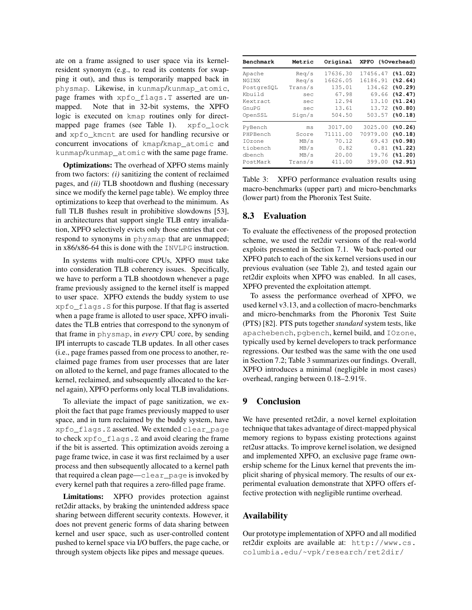ate on a frame assigned to user space via its kernelresident synonym (e.g., to read its contents for swapping it out), and thus is temporarily mapped back in physmap. Likewise, in kunmap/kunmap\_atomic, page frames with xpfo\_flags.T asserted are unmapped. Note that in 32-bit systems, the XPFO logic is executed on kmap routines only for directmapped page frames (see Table [1\)](#page-5-1). xpfo\_lock and xpfo\_kmcnt are used for handling recursive or concurrent invocations of kmap/kmap\_atomic and kunmap/kunmap\_atomic with the same page frame.

Optimizations: The overhead of XPFO stems mainly from two factors: *(i)* sanitizing the content of reclaimed pages, and *(ii)* TLB shootdown and flushing (necessary since we modify the kernel page table). We employ three optimizations to keep that overhead to the minimum. As full TLB flushes result in prohibitive slowdowns [\[53\]](#page-15-11), in architectures that support single TLB entry invalidation, XPFO selectively evicts only those entries that correspond to synonyms in physmap that are unmapped; in x86/x86-64 this is done with the INVLPG instruction.

In systems with multi-core CPUs, XPFO must take into consideration TLB coherency issues. Specifically, we have to perform a TLB shootdown whenever a page frame previously assigned to the kernel itself is mapped to user space. XPFO extends the buddy system to use xpfo\_flags.S for this purpose. If that flag is asserted when a page frame is alloted to user space, XPFO invalidates the TLB entries that correspond to the synonym of that frame in physmap, in *every* CPU core, by sending IPI interrupts to cascade TLB updates. In all other cases (i.e., page frames passed from one process to another, reclaimed page frames from user processes that are later on alloted to the kernel, and page frames allocated to the kernel, reclaimed, and subsequently allocated to the kernel again), XPFO performs only local TLB invalidations.

To alleviate the impact of page sanitization, we exploit the fact that page frames previously mapped to user space, and in turn reclaimed by the buddy system, have xpfo\_flags.Z asserted. We extended clear\_page to check xpfo\_flags.Z and avoid clearing the frame if the bit is asserted. This optimization avoids zeroing a page frame twice, in case it was first reclaimed by a user process and then subsequently allocated to a kernel path that required a clean page—clear\_page is invoked by every kernel path that requires a zero-filled page frame.

Limitations: XPFO provides protection against ret2dir attacks, by braking the unintended address space sharing between different security contexts. However, it does not prevent generic forms of data sharing between kernel and user space, such as user-controlled content pushed to kernel space via I/O buffers, the page cache, or through system objects like pipes and message queues.

| Benchmark  | Metric  | Original | XPFO     | (%Overhead) |
|------------|---------|----------|----------|-------------|
| Apache     | Req/s   | 17636.30 | 17456.47 | $(*1.02)$   |
| NGINX      | Req/s   | 16626.05 | 16186.91 | $(*2.64)$   |
| PostgreSQL | Trans/s | 135.01   | 134.62   | $(*0.29)$   |
| Kbuild     | sec     | 67.98    | 69.66    | $(*2.47)$   |
| Kextract   | sec     | 12.94    | 13.10    | $(*1.24)$   |
| GnuPG      | sec     | 13.61    | 13.72    | (80.80)     |
| OpenSSL    | Sing/s  | 504.50   | 503.57   | $(*0.18)$   |
| PyBench    | ms      | 3017.00  | 3025.00  | (80.26)     |
| PHPBench   | Score   | 71111.00 | 70979.00 | (80.18)     |
| IOzone     | MB/s    | 70.12    | 69.43    | (80.98)     |
| tiobench   | MB/s    | 0.82     | 0.81     | $(*1.22)$   |
| dbench     | MB/s    | 20.00    | 19.76    | $(*1.20)$   |
| PostMark   | Trans/s | 411.00   | 399.00   | $(*2.91)$   |

<span id="page-13-0"></span>Table 3: XPFO performance evaluation results using macro-benchmarks (upper part) and micro-benchmarks (lower part) from the Phoronix Test Suite.

#### 8.3 Evaluation

To evaluate the effectiveness of the proposed protection scheme, we used the ret2dir versions of the real-world exploits presented in Section [7.1.](#page-9-2) We back-ported our XPFO patch to each of the six kernel versions used in our previous evaluation (see Table [2\)](#page-10-0), and tested again our ret2dir exploits when XPFO was enabled. In all cases, XPFO prevented the exploitation attempt.

To assess the performance overhead of XPFO, we used kernel v3.13, and a collection of macro-benchmarks and micro-benchmarks from the Phoronix Test Suite (PTS) [\[82\]](#page-15-44). PTS puts together*standard* system tests, like apachebench, pgbench, kernel build, and IOzone, typically used by kernel developers to track performance regressions. Our testbed was the same with the one used in Section [7.2;](#page-11-1) Table [3](#page-13-0) summarizes our findings. Overall, XPFO introduces a minimal (negligible in most cases) overhead, ranging between 0.18–2.91%.

### 9 Conclusion

We have presented ret2dir, a novel kernel exploitation technique that takes advantage of direct-mapped physical memory regions to bypass existing protections against ret2usr attacks. To improve kernel isolation, we designed and implemented XPFO, an exclusive page frame ownership scheme for the Linux kernel that prevents the implicit sharing of physical memory. The results of our experimental evaluation demonstrate that XPFO offers effective protection with negligible runtime overhead.

## Availability

Our prototype implementation of XPFO and all modified ret2dir exploits are available at: [http://www.cs.](http://www.cs.columbia.edu/~vpk/research/ret2dir/) [columbia.edu/~vpk/research/ret2dir/](http://www.cs.columbia.edu/~vpk/research/ret2dir/)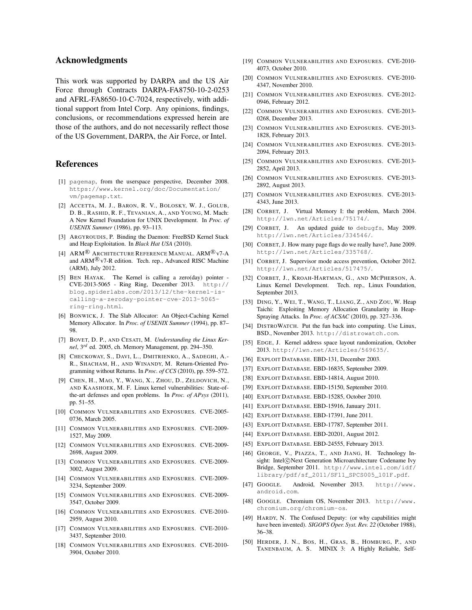#### Acknowledgments

This work was supported by DARPA and the US Air Force through Contracts DARPA-FA8750-10-2-0253 and AFRL-FA8650-10-C-7024, respectively, with additional support from Intel Corp. Any opinions, findings, conclusions, or recommendations expressed herein are those of the authors, and do not necessarily reflect those of the US Government, DARPA, the Air Force, or Intel.

#### References

- <span id="page-14-45"></span>[1] pagemap, from the userspace perspective, December 2008. [https://www.kernel.org/doc/Documentation/](https://www.kernel.org/doc/Documentation/vm/pagemap.txt) [vm/pagemap.txt](https://www.kernel.org/doc/Documentation/vm/pagemap.txt).
- <span id="page-14-21"></span>[2] ACCETTA, M. J., BARON, R. V., BOLOSKY, W. J., GOLUB, D. B., RASHID, R. F., TEVANIAN, A., AND YOUNG, M. Mach: A New Kernel Foundation for UNIX Development. In *Proc. of USENIX Summer* (1986), pp. 93–113.
- <span id="page-14-47"></span>[3] ARGYROUDIS, P. Binding the Daemon: FreeBSD Kernel Stack and Heap Exploitation. In *Black Hat USA* (2010).
- <span id="page-14-20"></span>[4] ARM<sup>®</sup> Architecture Reference Manual. ARM<sup>®</sup> v7-A and ARM<sup>®</sup> v7-R edition. Tech. rep., Advanced RISC Machine (ARM), July 2012.
- <span id="page-14-1"></span>[5] BEN HAYAK. The Kernel is calling a zero(day) pointer - CVE-2013-5065 - Ring Ring, December 2013. [http://](http://blog.spiderlabs.com/2013/12/the-kernel-is-calling-a-zeroday-pointer-cve-2013-5065-ring-ring.html) [blog.spiderlabs.com/2013/12/the-kernel-is](http://blog.spiderlabs.com/2013/12/the-kernel-is-calling-a-zeroday-pointer-cve-2013-5065-ring-ring.html)[calling-a-zeroday-pointer-cve-2013-5065](http://blog.spiderlabs.com/2013/12/the-kernel-is-calling-a-zeroday-pointer-cve-2013-5065-ring-ring.html) [ring-ring.html](http://blog.spiderlabs.com/2013/12/the-kernel-is-calling-a-zeroday-pointer-cve-2013-5065-ring-ring.html).
- <span id="page-14-42"></span>[6] BONWICK, J. The Slab Allocator: An Object-Caching Kernel Memory Allocator. In *Proc. of USENIX Summer* (1994), pp. 87– 98.
- <span id="page-14-40"></span>[7] BOVET, D. P., AND CESATI, M. *Understanding the Linux Kernel*, 3*rd* ed. 2005, ch. Memory Management, pp. 294–350.
- <span id="page-14-37"></span>[8] CHECKOWAY, S., DAVI, L., DMITRIENKO, A., SADEGHI, A.- R., SHACHAM, H., AND WINANDY, M. Return-Oriented Programming without Returns. In *Proc. of CCS* (2010), pp. 559–572.
- <span id="page-14-26"></span>[9] CHEN, H., MAO, Y., WANG, X., ZHOU, D., ZELDOVICH, N., AND KAASHOEK, M. F. Linux kernel vulnerabilities: State-ofthe-art defenses and open problems. In *Proc. of APsys* (2011), pp. 51–55.
- <span id="page-14-5"></span>[10] COMMON VULNERABILITIES AND EXPOSURES. CVE-2005-0736, March 2005.
- <span id="page-14-14"></span>[11] COMMON VULNERABILITIES AND EXPOSURES. CVE-2009- 1527, May 2009.
- <span id="page-14-6"></span>[12] COMMON VULNERABILITIES AND EXPOSURES. CVE-2009- 2698, August 2009.
- <span id="page-14-7"></span>[13] COMMON VULNERABILITIES AND EXPOSURES. CVE-2009-3002, August 2009.
- <span id="page-14-2"></span>[14] COMMON VULNERABILITIES AND EXPOSURES. CVE-2009- 3234, September 2009.
- <span id="page-14-15"></span>[15] COMMON VULNERABILITIES AND EXPOSURES. CVE-2009- 3547, October 2009.
- <span id="page-14-13"></span>[16] COMMON VULNERABILITIES AND EXPOSURES. CVE-2010- 2959, August 2010.
- <span id="page-14-11"></span>[17] COMMON VULNERABILITIES AND EXPOSURES. CVE-2010- 3437, September 2010.
- <span id="page-14-16"></span>[18] COMMON VULNERABILITIES AND EXPOSURES. CVE-2010-3904, October 2010.
- <span id="page-14-8"></span>[19] COMMON VULNERABILITIES AND EXPOSURES. CVE-2010-4073, October 2010.
- <span id="page-14-17"></span>[20] COMMON VULNERABILITIES AND EXPOSURES. CVE-2010- 4347, November 2010.
- [21] COMMON VULNERABILITIES AND EXPOSURES. CVE-2012- 0946, February 2012.
- <span id="page-14-18"></span>[22] COMMON VULNERABILITIES AND EXPOSURES. CVE-2013- 0268, December 2013.
- <span id="page-14-3"></span>[23] COMMON VULNERABILITIES AND EXPOSURES. CVE-2013- 1828, February 2013.
- <span id="page-14-12"></span>[24] COMMON VULNERABILITIES AND EXPOSURES. CVE-2013- 2094, February 2013.
- <span id="page-14-9"></span>[25] COMMON VULNERABILITIES AND EXPOSURES. CVE-2013- 2852, April 2013.
- <span id="page-14-4"></span>[26] COMMON VULNERABILITIES AND EXPOSURES. CVE-2013- 2892, August 2013.
- <span id="page-14-10"></span>[27] COMMON VULNERABILITIES AND EXPOSURES. CVE-2013- 4343, June 2013.
- <span id="page-14-25"></span>[28] CORBET, J. Virtual Memory I: the problem, March 2004. <http://lwn.net/Articles/75174/>.
- <span id="page-14-43"></span>[29] CORBET, J. An updated guide to debugfs, May 2009. <http://lwn.net/Articles/334546/>.
- <span id="page-14-48"></span>[30] CORBET, J. How many page flags do we really have?, June 2009. <http://lwn.net/Articles/335768/>.
- <span id="page-14-38"></span>[31] CORBET, J. Supervisor mode access prevention, October 2012. <http://lwn.net/Articles/517475/>.
- <span id="page-14-0"></span>[32] CORBET, J., KROAH-HARTMAN, G., AND MCPHERSON, A. Linux Kernel Development. Tech. rep., Linux Foundation, September 2013.
- <span id="page-14-46"></span>[33] DING, Y., WEI, T., WANG, T., LIANG, Z., AND ZOU, W. Heap Taichi: Exploiting Memory Allocation Granularity in Heap-Spraying Attacks. In *Proc. of ACSAC* (2010), pp. 327–336.
- <span id="page-14-44"></span>[34] DISTROWATCH. Put the fun back into computing. Use Linux, BSD., November 2013. <http://distrowatch.com>.
- <span id="page-14-41"></span>[35] EDGE, J. Kernel address space layout randomization, October 2013. <http://lwn.net/Articles/569635/>.
- <span id="page-14-36"></span><span id="page-14-27"></span>[36] EXPLOIT DATABASE. EBD-131, December 2003.
- <span id="page-14-33"></span>[37] EXPLOIT DATABASE. EBD-16835, September 2009.
- <span id="page-14-34"></span>[38] EXPLOIT DATABASE. EBD-14814, August 2010.
- <span id="page-14-29"></span>[39] EXPLOIT DATABASE. EBD-15150, September 2010.
- <span id="page-14-35"></span>[40] EXPLOIT DATABASE. EBD-15285, October 2010.
- <span id="page-14-30"></span>[41] EXPLOIT DATABASE. EBD-15916, January 2011.
- <span id="page-14-31"></span>[42] EXPLOIT DATABASE. EBD-17391, June 2011.
- <span id="page-14-28"></span>[43] EXPLOIT DATABASE. EBD-17787, September 2011.
- <span id="page-14-32"></span>[44] EXPLOIT DATABASE. EBD-20201, August 2012.
- <span id="page-14-19"></span>[45] EXPLOIT DATABASE. EBD-24555, February 2013.
- [46] GEORGE, V., PIAZZA, T., AND JIANG, H. Technology Insight: Intel©Next Generation Microarchitecture Codename Ivy Bridge, September 2011. [http://www.intel.com/idf/](http://www.intel.com/idf/library/pdf/sf_2011/SF11_SPCS005_101F.pdf) [library/pdf/sf\\_2011/SF11\\_SPCS005\\_101F.pdf](http://www.intel.com/idf/library/pdf/sf_2011/SF11_SPCS005_101F.pdf).
- <span id="page-14-23"></span>[47] GOOGLE. Android, November 2013. [http://www.](http://www.android.com) [android.com](http://www.android.com).
- <span id="page-14-24"></span>[48] GOOGLE. Chromium OS, November 2013. [http://www.](http://www.chromium.org/chromium-os) [chromium.org/chromium-os](http://www.chromium.org/chromium-os).
- <span id="page-14-39"></span>[49] HARDY, N. The Confused Deputy: (or why capabilities might have been invented). *SIGOPS Oper. Syst. Rev. 22* (October 1988), 36–38.
- <span id="page-14-22"></span>[50] HERDER, J. N., BOS, H., GRAS, B., HOMBURG, P., AND TANENBAUM, A. S. MINIX 3: A Highly Reliable, Self-